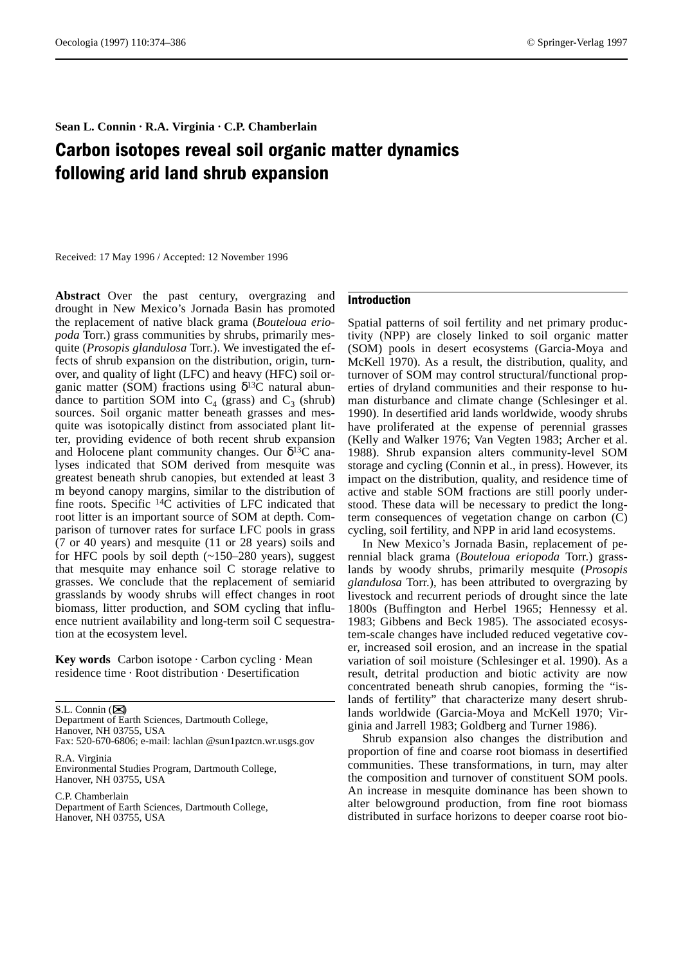# Sean L. Connin · R.A. Virginia · C.P. Chamberlain

# Carbon isotopes reveal soil organic matter dynamics following arid land shrub expansion

Received: 17 May 1996 / Accepted: 12 November 1996

Abstract Over the past century, overgrazing and drought in New Mexico's Jornada Basin has promoted the replacement of native black grama (*Bouteloua eriopoda* Torr.) grass communities by shrubs, primarily mesquite (*Prosopis glandulosa* Torr.). We investigated the effects of shrub expansion on the distribution, origin, turnover, and quality of light (LFC) and heavy (HFC) soil organic matter (SOM) fractions using  $δ<sup>13</sup>C$  natural abundance to partition SOM into  $C_4$  (grass) and  $C_3$  (shrub) sources. Soil organic matter beneath grasses and mesquite was isotopically distinct from associated plant litter, providing evidence of both recent shrub expansion and Holocene plant community changes. Our  $\delta^{13}$ C analyses indicated that SOM derived from mesquite was greatest beneath shrub canopies, but extended at least 3 m beyond canopy margins, similar to the distribution of fine roots. Specific 14C activities of LFC indicated that root litter is an important source of SOM at depth. Comparison of turnover rates for surface LFC pools in grass (7 or 40 years) and mesquite (11 or 28 years) soils and for HFC pools by soil depth (~150–280 years), suggest that mesquite may enhance soil C storage relative to grasses. We conclude that the replacement of semiarid grasslands by woody shrubs will effect changes in root biomass, litter production, and SOM cycling that influence nutrient availability and long-term soil C sequestration at the ecosystem level.

Key words Carbon isotope · Carbon cycling · Mean residence time  $\cdot$  Root distribution  $\cdot$  Desertification

S.L. Connin ( $\boxtimes$ ) Department of Earth Sciences, Dartmouth College, Hanover, NH 03755, USA

Fax: 520-670-6806; e-mail: lachlan @sun1paztcn.wr.usgs.gov R.A. Virginia

Environmental Studies Program, Dartmouth College, Hanover, NH 03755, USA

C.P. Chamberlain Department of Earth Sciences, Dartmouth College, Hanover, NH 03755, USA

## Introduction

Spatial patterns of soil fertility and net primary productivity (NPP) are closely linked to soil organic matter (SOM) pools in desert ecosystems (Garcia-Moya and McKell 1970). As a result, the distribution, quality, and turnover of SOM may control structural/functional properties of dryland communities and their response to human disturbance and climate change (Schlesinger et al. 1990). In desertified arid lands worldwide, woody shrubs have proliferated at the expense of perennial grasses (Kelly and Walker 1976; Van Vegten 1983; Archer et al. 1988). Shrub expansion alters community-level SOM storage and cycling (Connin et al., in press). However, its impact on the distribution, quality, and residence time of active and stable SOM fractions are still poorly understood. These data will be necessary to predict the longterm consequences of vegetation change on carbon (C) cycling, soil fertility, and NPP in arid land ecosystems.

In New Mexico's Jornada Basin, replacement of perennial black grama (*Bouteloua eriopoda* Torr.) grasslands by woody shrubs, primarily mesquite (*Prosopis glandulosa* Torr.), has been attributed to overgrazing by livestock and recurrent periods of drought since the late 1800s (Buffington and Herbel 1965; Hennessy et al. 1983; Gibbens and Beck 1985). The associated ecosystem-scale changes have included reduced vegetative cover, increased soil erosion, and an increase in the spatial variation of soil moisture (Schlesinger et al. 1990). As a result, detrital production and biotic activity are now concentrated beneath shrub canopies, forming the "islands of fertility" that characterize many desert shrublands worldwide (Garcia-Moya and McKell 1970; Virginia and Jarrell 1983; Goldberg and Turner 1986).

Shrub expansion also changes the distribution and proportion of fine and coarse root biomass in desertified communities. These transformations, in turn, may alter the composition and turnover of constituent SOM pools. An increase in mesquite dominance has been shown to alter belowground production, from fine root biomass distributed in surface horizons to deeper coarse root bio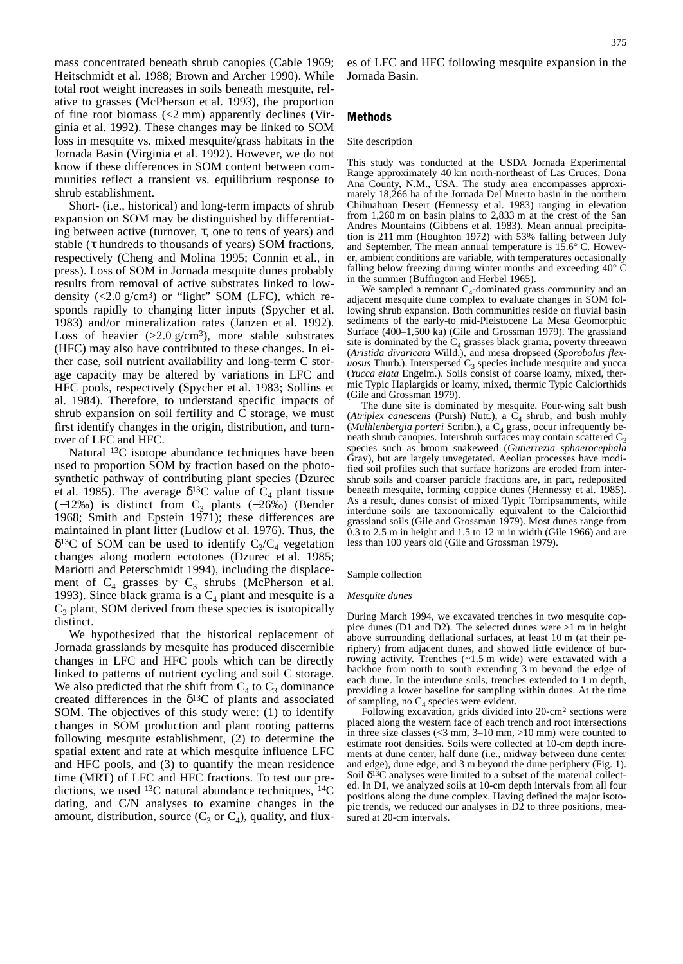mass concentrated beneath shrub canopies (Cable 1969; Heitschmidt et al. 1988; Brown and Archer 1990). While total root weight increases in soils beneath mesquite, relative to grasses (McPherson et al. 1993), the proportion of fine root biomass  $\left($ <2 mm) apparently declines (Virginia et al. 1992). These changes may be linked to SOM loss in mesquite vs. mixed mesquite/grass habitats in the Jornada Basin (Virginia et al. 1992). However, we do not know if these differences in SOM content between communities reflect a transient vs. equilibrium response to shrub establishment.

Short- (i.e., historical) and long-term impacts of shrub expansion on SOM may be distinguished by differentiating between active (turnover,  $\tau$ , one to tens of years) and stable ( $\tau$  hundreds to thousands of years) SOM fractions, respectively (Cheng and Molina 1995; Connin et al., in press). Loss of SOM in Jornada mesquite dunes probably results from removal of active substrates linked to lowdensity  $(<2.0 \text{ g/cm}^3$  or "light" SOM (LFC), which responds rapidly to changing litter inputs (Spycher et al. 1983) and/or mineralization rates (Janzen et al. 1992). Loss of heavier  $(>2.0 \text{ g/cm}^3)$ , more stable substrates (HFC) may also have contributed to these changes. In either case, soil nutrient availability and long-term C storage capacity may be altered by variations in LFC and HFC pools, respectively (Spycher et al. 1983; Sollins et al. 1984). Therefore, to understand specific impacts of shrub expansion on soil fertility and C storage, we must first identify changes in the origin, distribution, and turnover of LFC and HFC.

Natural 13C isotope abundance techniques have been used to proportion SOM by fraction based on the photosynthetic pathway of contributing plant species (Dzurec et al. 1985). The average  $\delta^{13}$ C value of C<sub>4</sub> plant tissue  $(-12\%)$  is distinct from C<sub>3</sub> plants  $(-26\%)$  (Bender 1968; Smith and Epstein 1971); these differences are maintained in plant litter (Ludlow et al. 1976). Thus, the  $\delta^{13}$ C of SOM can be used to identify C<sub>3</sub>/C<sub>4</sub> vegetation changes along modern ectotones (Dzurec et al. 1985; Mariotti and Peterschmidt 1994), including the displacement of  $C_4$  grasses by  $C_3$  shrubs (McPherson et al. 1993). Since black grama is a  $C_4$  plant and mesquite is a  $C_3$  plant, SOM derived from these species is isotopically distinct.

We hypothesized that the historical replacement of Jornada grasslands by mesquite has produced discernible changes in LFC and HFC pools which can be directly linked to patterns of nutrient cycling and soil C storage. We also predicted that the shift from  $C_4$  to  $C_3$  dominance created differences in the  $\delta^{13}$ C of plants and associated SOM. The objectives of this study were: (1) to identify changes in SOM production and plant rooting patterns following mesquite establishment, (2) to determine the spatial extent and rate at which mesquite influence LFC and HFC pools, and (3) to quantify the mean residence time (MRT) of LFC and HFC fractions. To test our predictions, we used  $^{13}$ C natural abundance techniques,  $^{14}$ C dating, and C/N analyses to examine changes in the amount, distribution, source  $(C_3$  or  $C_4$ ), quality, and flux-

es of LFC and HFC following mesquite expansion in the Jornada Basin.

# Methods

# Site description

This study was conducted at the USDA Jornada Experimental Range approximately 40 km north-northeast of Las Cruces, Dona Ana County, N.M., USA. The study area encompasses approximately 18,266 ha of the Jornada Del Muerto basin in the northern Chihuahuan Desert (Hennessy et al. 1983) ranging in elevation from 1,260 m on basin plains to 2,833 m at the crest of the San Andres Mountains (Gibbens et al. 1983). Mean annual precipitation is 211 mm (Houghton 1972) with 53% falling between July and September. The mean annual temperature is 15.6° C. However, ambient conditions are variable, with temperatures occasionally falling below freezing during winter months and exceeding 40° C in the summer (Buffington and Herbel 1965).

We sampled a remnant  $C_4$ -dominated grass community and an adjacent mesquite dune complex to evaluate changes in SOM following shrub expansion. Both communities reside on fluvial basin sediments of the early-to mid-Pleistocene La Mesa Geomorphic Surface (400–1,500 ka) (Gile and Grossman 1979). The grassland site is dominated by the  $C_4$  grasses black grama, poverty threeawn (*Aristida divaricata* Willd.), and mesa dropseed (*Sporobolus flex* $uosus$  Thurb.). Interspersed  $C_3$  species include mesquite and yucca (*Yucca elata* Engelm.). Soils consist of coarse loamy, mixed, thermic Typic Haplargids or loamy, mixed, thermic Typic Calciorthids (Gile and Grossman 1979).

The dune site is dominated by mesquite. Four-wing salt bush (*Atriplex canescens* (Pursh) Nutt.), a  $C_4$  shrub, and bush muhly (*Mulhlenbergia porteri* Scribn.), a C<sub>4</sub> grass, occur infrequently beneath shrub canopies. Intershrub surfaces may contain scattered  $C_3$ species such as broom snakeweed (*Gutierrezia sphaerocephala* Gray), but are largely unvegetated. Aeolian processes have modified soil profiles such that surface horizons are eroded from intershrub soils and coarser particle fractions are, in part, redeposited beneath mesquite, forming coppice dunes (Hennessy et al. 1985). As a result, dunes consist of mixed Typic Torripsamments, while interdune soils are taxonomically equivalent to the Calciorthid grassland soils (Gile and Grossman 1979). Most dunes range from 0.3 to 2.5 m in height and 1.5 to 12 m in width (Gile 1966) and are less than 100 years old (Gile and Grossman 1979).

#### Sample collection

#### *Mesquite dunes*

During March 1994, we excavated trenches in two mesquite coppice dunes (D1 and D2). The selected dunes were >1 m in height above surrounding deflational surfaces, at least 10 m (at their periphery) from adjacent dunes, and showed little evidence of burrowing activity. Trenches (~1.5 m wide) were excavated with a backhoe from north to south extending 3 m beyond the edge of each dune. In the interdune soils, trenches extended to 1 m depth, providing a lower baseline for sampling within dunes. At the time of sampling, no  $C_4$  species were evident.

Following excavation, grids divided into 20-cm2 sections were placed along the western face of each trench and root intersections in three size classes  $\left($  <3 mm, 3–10 mm, >10 mm) were counted to estimate root densities. Soils were collected at 10-cm depth increments at dune center, half dune (i.e., midway between dune center and edge), dune edge, and 3 m beyond the dune periphery (Fig. 1). Soil  $\delta^{13}$ C analyses were limited to a subset of the material collected. In D1, we analyzed soils at 10-cm depth intervals from all four positions along the dune complex. Having defined the major isotopic trends, we reduced our analyses in D2 to three positions, measured at 20-cm intervals.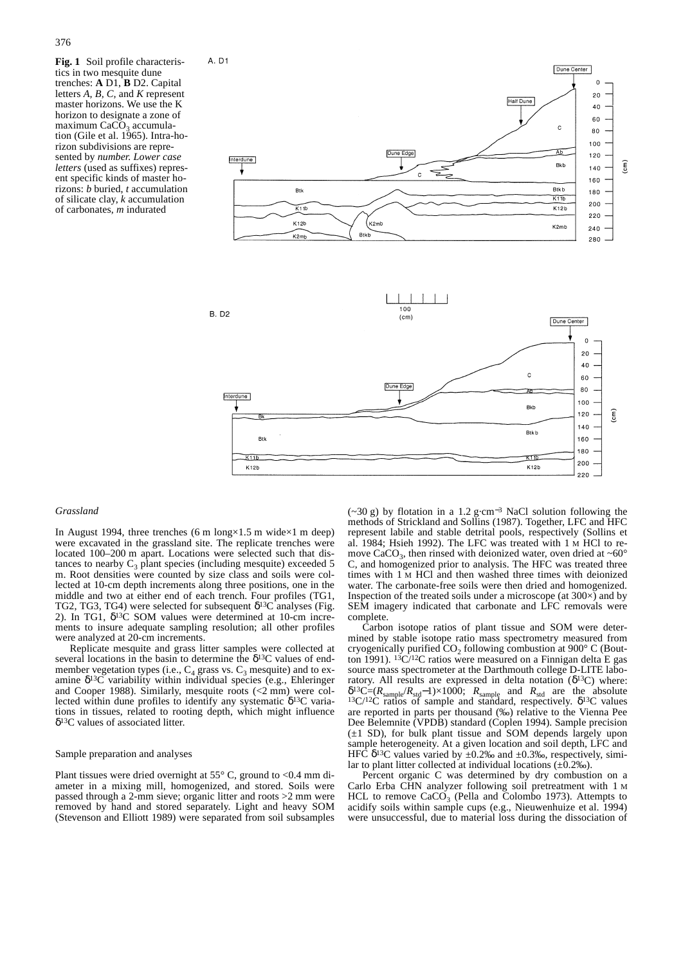**Fig. 1** Soil profile characteristics in two mesquite dune trenches: **A** D1, **B** D2. Capital letters *A, B, C,* and *K* represent master horizons. We use the K horizon to designate a zone of maximum  $CaCO<sub>3</sub>$  accumulation (Gile et al. 1965). Intra-horizon subdivisions are represented by *number. Lower case letters* (used as suffixes) represent specific kinds of master horizons: *b* buried, *t* accumulation of silicate clay, *k* accumulation of carbonates,  $m$  indurated



## *Grassland*

In August 1994, three trenches (6 m long $\times$ 1.5 m wide $\times$ 1 m deep) were excavated in the grassland site. The replicate trenches were located 100–200 m apart. Locations were selected such that distances to nearby  $C_3$  plant species (including mesquite) exceeded 5 m. Root densities were counted by size class and soils were collected at 10-cm depth increments along three positions, one in the middle and two at either end of each trench. Four profiles (TG1, TG2, TG3, TG4) were selected for subsequent  $\delta^{13}$ C analyses (Fig. 2). In TG1,  $δ<sup>13</sup>C$  SOM values were determined at 10-cm increments to insure adequate sampling resolution; all other profiles were analyzed at 20-cm increments.

 $K11$ 

 $K12b$ 

Replicate mesquite and grass litter samples were collected at several locations in the basin to determine the δ13C values of endmember vegetation types (i.e.,  $C_4$  grass vs.  $C_3$  mesquite) and to examine  $\delta^{13}$ C variability within individual species (e.g., Ehleringer and Cooper 1988). Similarly, mesquite roots (<2 mm) were collected within dune profiles to identify any systematic  $\delta^{13}C$  variations in tissues, related to rooting depth, which might influence δ13C values of associated litter.

#### Sample preparation and analyses

Plant tissues were dried overnight at  $55^{\circ}$  C, ground to <0.4 mm diameter in a mixing mill, homogenized, and stored. Soils were passed through a 2-mm sieve; organic litter and roots >2 mm were removed by hand and stored separately. Light and heavy SOM (Stevenson and Elliott 1989) were separated from soil subsamples

(~30 g) by flotation in a 1.2 g·cm<sup>−</sup><sup>3</sup> NaCl solution following the methods of Strickland and Sollins (1987). Together, LFC and HFC represent labile and stable detrital pools, respectively (Sollins et al. 1984; Hsieh 1992). The LFC was treated with 1 M HCl to remove CaCO<sub>3</sub>, then rinsed with deionized water, oven dried at ~60 $^{\circ}$ C, and homogenized prior to analysis. The HFC was treated three times with 1 M HCl and then washed three times with deionized water. The carbonate-free soils were then dried and homogenized. Inspection of the treated soils under a microscope (at  $300\times$ ) and by SEM imagery indicated that carbonate and LFC removals were complete.

ােকা

K12b

200

220

Carbon isotope ratios of plant tissue and SOM were determined by stable isotope ratio mass spectrometry measured from cryogenically purified  $CO<sub>2</sub>$  following combustion at 900 $\degree$  C (Boutton 1991). 13C/12C ratios were measured on a Finnigan delta E gas source mass spectrometer at the Darthmouth college D-LITE laboratory. All results are expressed in delta notation ( $\delta^{13}$ C) where: <sup>δ</sup>13C=(*R*sample/*R*std−1)×1000; *R*sample and *R*std are the absolute 13C/12C ratios of sample and standard, respectively. δ13C values are reported in parts per thousand (‰) relative to the Vienna Pee Dee Belemnite (VPDB) standard (Coplen 1994). Sample precision  $(\pm 1$  SD), for bulk plant tissue and SOM depends largely upon sample heterogeneity. At a given location and soil depth, LFC and HFC  $\delta^{13}$ C values varied by  $\pm 0.2$ ‰ and  $\pm 0.3$ ‰, respectively, similar to plant litter collected at individual locations  $(\pm 0.2\%)$ .

Percent organic C was determined by dry combustion on a Carlo Erba CHN analyzer following soil pretreatment with 1 M HCL to remove  $CaCO<sub>3</sub>$  (Pella and Colombo 1973). Attempts to acidify soils within sample cups (e.g., Nieuwenhuize et al. 1994) were unsuccessful, due to material loss during the dissociation of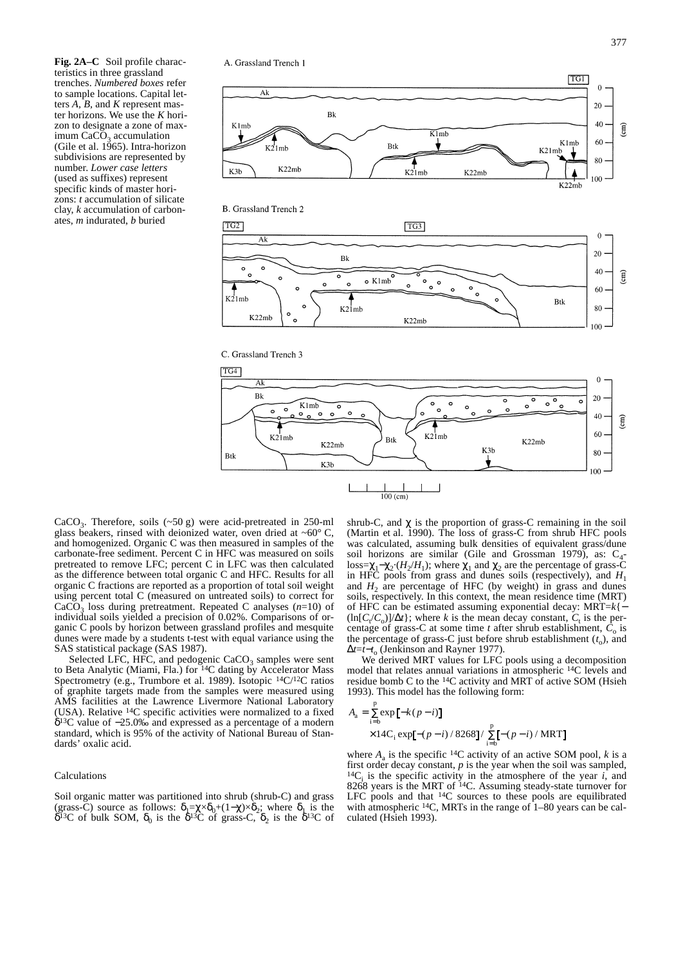**Fig. 2A–C** Soil profile characteristics in three grassland trenches. *Numbered boxes* refer to sample locations. Capital letters *A, B,* and *K* represent master horizons. We use the *K* horizon to designate a zone of maximum  $CaCO<sub>3</sub>$  accumulation (Gile et al. 1965). Intra-horizon subdivisions are represented by number. *Lower case letters* (used as suffixes) represent specific kinds of master horizons: *t* accumulation of silicate clay, *k* accumulation of carbonates, *m* indurated, *b* buried

A. Grassland Trench 1









CaCO<sub>3</sub>. Therefore, soils  $(\sim 50 \text{ g})$  were acid-pretreated in 250-ml glass beakers, rinsed with deionized water, oven dried at  $~60^{\circ}$  C, and homogenized. Organic C was then measured in samples of the carbonate-free sediment. Percent C in HFC was measured on soils pretreated to remove LFC; percent C in LFC was then calculated as the difference between total organic C and HFC. Results for all organic C fractions are reported as a proportion of total soil weight using percent total C (measured on untreated soils) to correct for  $CaCO<sub>3</sub>$  loss during pretreatment. Repeated C analyses  $(n=10)$  of individual soils yielded a precision of 0.02%. Comparisons of organic C pools by horizon between grassland profiles and mesquite dunes were made by a students t-test with equal variance using the SAS statistical package (SAS 1987).

Selected LFC, HFC, and pedogenic  $CaCO<sub>3</sub>$  samples were sent to Beta Analytic (Miami, Fla.) for 14C dating by Accelerator Mass Spectrometry (e.g., Trumbore et al. 1989). Isotopic 14C/12C ratios of graphite targets made from the samples were measured using AMS facilities at the Lawrence Livermore National Laboratory (USA). Relative 14C specific activities were normalized to a fixed δ13C value of −25.0‰ and expressed as a percentage of a modern standard, which is 95% of the activity of National Bureau of Standards' oxalic acid.

#### Calculations

Soil organic matter was partitioned into shrub (shrub-C) and grass (grass-C) source as follows:  $\delta_1 = \chi \times \delta_0 + (1-\chi) \times \delta_2$ ; where  $\delta_1$  is the  $\delta^{13}$ C of bulk SOM,  $\delta_0$  is the  $\delta^{13}$ C of grass-C,  $\delta_2$  is the  $\delta^{13}$ C of shrub-C, and  $\chi$  is the proportion of grass-C remaining in the soil (Martin et al. 1990). The loss of grass-C from shrub HFC pools was calculated, assuming bulk densities of equivalent grass/dune soil horizons are similar (Gile and Grossman 1979), as:  $C_4$ loss= $\chi_1-\chi_2$ ·( $H_2/H_1$ ); where  $\chi_1$  and  $\chi_2$  are the percentage of grass-C in HFC pools from grass and dunes soils (respectively), and *H*<sup>1</sup> and  $H_2$  are percentage of HFC (by weight) in grass and dunes soils, respectively. In this context, the mean residence time (MRT) of HFC can be estimated assuming exponential decay: MRT=*k*{−  $(\ln[C_t/C_0]/\Delta t)$ ; where *k* is the mean decay constant,  $C_t$  is the percentage of grass-C at some time *t* after shrub establishment,  $C_0$  is the percentage of grass-C just before shrub establishment  $(t_0)$ , and ∆*t*=*t*−*t*<sup>o</sup> (Jenkinson and Rayner 1977).

We derived MRT values for LFC pools using a decomposition model that relates annual variations in atmospheric 14C levels and residue bomb C to the 14C activity and MRT of active SOM (Hsieh 1993). This model has the following form:

$$
A_{a} = \sum_{i=b}^{p} \exp[-k(p - i)]
$$
  
×14C<sub>i</sub> exp[-(p - i)/8268]/  $\sum_{i=b}^{p}$ [-(p - i)/MRT]

where  $A_a$  is the specific <sup>14</sup>C activity of an active SOM pool, *k* is a first order decay constant, *p* is the year when the soil was sampled,  $^{14}C_i$  is the specific activity in the atmosphere of the year *i*, and 8268 years is the MRT of 14C. Assuming steady-state turnover for LFC pools and that <sup>14</sup>C sources to these pools are equilibrated with atmospheric <sup>14</sup>C, MRTs in the range of 1–80 years can be calculated (Hsieh 1993).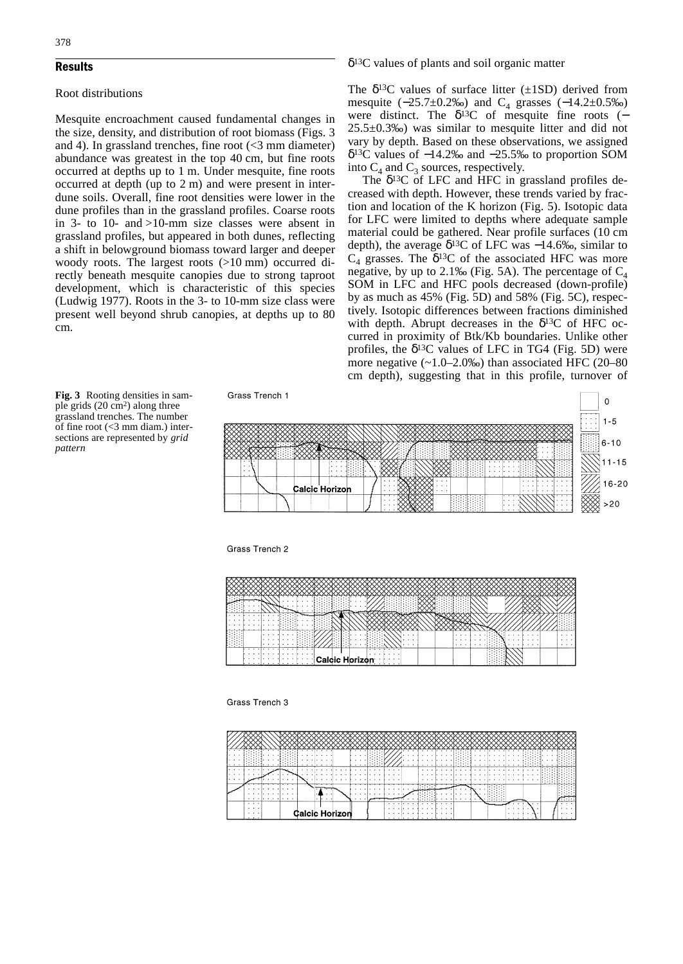# Results

# Root distributions

Mesquite encroachment caused fundamental changes in the size, density, and distribution of root biomass (Figs. 3 and 4). In grassland trenches, fine root  $\leq$ 3 mm diameter) abundance was greatest in the top 40 cm, but fine roots occurred at depths up to 1 m. Under mesquite, fine roots occurred at depth (up to 2 m) and were present in interdune soils. Overall, fine root densities were lower in the dune profiles than in the grassland profiles. Coarse roots in 3- to 10- and >10-mm size classes were absent in grassland profiles, but appeared in both dunes, reflecting a shift in belowground biomass toward larger and deeper woody roots. The largest roots (>10 mm) occurred directly beneath mesquite canopies due to strong taproot development, which is characteristic of this species (Ludwig 1977). Roots in the 3- to 10-mm size class were present well beyond shrub canopies, at depths up to 80 cm.

# δ13C values of plants and soil organic matter

The  $\delta^{13}$ C values of surface litter ( $\pm$ 1SD) derived from mesquite  $(-25.7\pm0.2\%)$  and C<sub>4</sub> grasses  $(-14.2\pm0.5\%)$ were distinct. The  $\delta^{13}C$  of mesquite fine roots (− 25.5±0.3‰) was similar to mesquite litter and did not vary by depth. Based on these observations, we assigned δ13C values of −14.2‰ and −25.5‰ to proportion SOM into  $C_4$  and  $C_3$  sources, respectively.

The  $\delta^{13}$ C of LFC and HFC in grassland profiles decreased with depth. However, these trends varied by fraction and location of the K horizon (Fig. 5). Isotopic data for LFC were limited to depths where adequate sample material could be gathered. Near profile surfaces (10 cm depth), the average  $\delta^{13}$ C of LFC was -14.6‰, similar to  $C_4$  grasses. The  $\delta^{13}C$  of the associated HFC was more negative, by up to 2.1‰ (Fig. 5A). The percentage of  $C_4$ SOM in LFC and HFC pools decreased (down-profile) by as much as 45% (Fig. 5D) and 58% (Fig. 5C), respectively. Isotopic differences between fractions diminished with depth. Abrupt decreases in the  $\delta^{13}$ C of HFC occurred in proximity of Btk/Kb boundaries. Unlike other profiles, the  $\delta^{13}$ C values of LFC in TG4 (Fig. 5D) were more negative  $(-1.0-2.0\%)$  than associated HFC  $(20-80)$ cm depth), suggesting that in this profile, turnover of





Grass Trench 2

#### Grass Trench 3

| $\cdots$<br>.<br>in a constitution of the constitutional constitution of the constitution of the constitution of the constitution of<br>.<br>$\cdots$<br>.<br>.<br>ninini maso a shinini na kata sa sa s<br>in a constitution of the constitution of the constitution of the constitution of the constitution of the constitution of the constitution of the constitution of the constitution of the constitution of the constitution of t<br>$\cdots$<br>.<br>.<br>.<br>$\cdots$<br>$\cdots$<br>$\cdots$<br>.<br><b>CONTRACTOR</b> AND INCOME.<br>.<br>.<br>.<br>$\cdots$ | .<br>.<br>. .<br>.<br>.<br>.<br>.<br>.<br>292929<br>.<br>.<br>.<br>$\sim$ $\sim$ | . | $\cdot$ $\cdot$ | .<br>. . | $\cdot$ $\cdot$ $\cdot$ $\cdot$<br>. | . | . <i>. .</i> . | . |
|----------------------------------------------------------------------------------------------------------------------------------------------------------------------------------------------------------------------------------------------------------------------------------------------------------------------------------------------------------------------------------------------------------------------------------------------------------------------------------------------------------------------------------------------------------------------------|----------------------------------------------------------------------------------|---|-----------------|----------|--------------------------------------|---|----------------|---|
|                                                                                                                                                                                                                                                                                                                                                                                                                                                                                                                                                                            |                                                                                  |   |                 |          |                                      |   |                |   |
|                                                                                                                                                                                                                                                                                                                                                                                                                                                                                                                                                                            |                                                                                  |   |                 |          |                                      |   |                |   |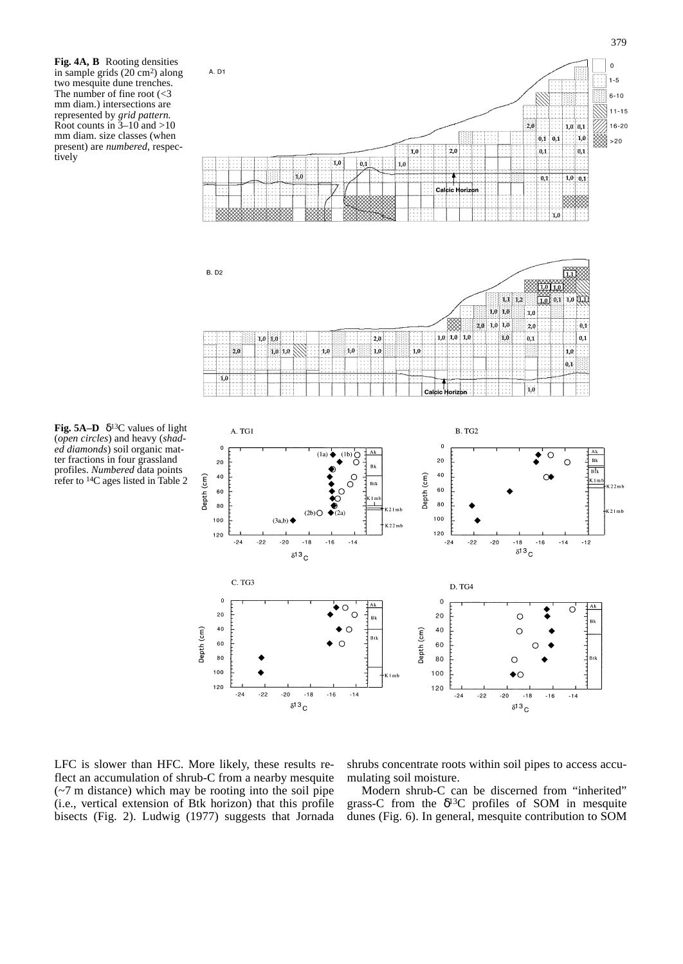**Fig. 4A, B** Rooting densities in sample grids (20 cm2) along two mesquite dune trenches. The number of fine root (<3 mm diam.) intersections are represented by *grid pattern.* Root counts in  $\frac{3}{2}$ –10 and >10 mm diam. size classes (when present) are *numbered*, respectively





**Fig. 5A–D**  $\delta^{13}$ C values of light (*open circles*) and heavy (*shaded diamonds*) soil organic matter fractions in four grassland profiles. *Numbered* data points refer to  $14C$  ages listed in Table 2



LFC is slower than HFC. More likely, these results reflect an accumulation of shrub-C from a nearby mesquite (~7 m distance) which may be rooting into the soil pipe (i.e., vertical extension of Btk horizon) that this profile bisects (Fig. 2). Ludwig (1977) suggests that Jornada

shrubs concentrate roots within soil pipes to access accumulating soil moisture.

Modern shrub-C can be discerned from "inherited" grass-C from the  $\delta^{13}$ C profiles of SOM in mesquite dunes (Fig. 6). In general, mesquite contribution to SOM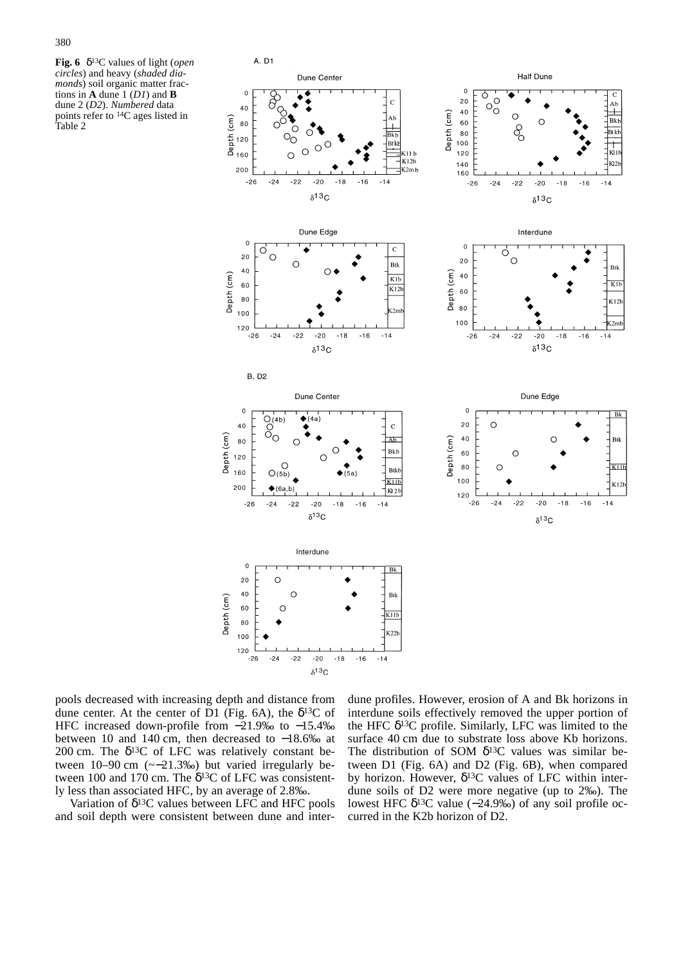**Fig. 6** δ13C values of light (*open circles*) and heavy (*shaded diamonds*) soil organic matter fractions in **A** dune 1 (*D1*) and **B** dune 2 (*D2*). *Numbered* data points refer to 14C ages listed in Table 2



pools decreased with increasing depth and distance from dune center. At the center of D1 (Fig. 6A), the  $\delta^{13}C$  of HFC increased down-profile from −21.9‰ to −15.4‰ between 10 and 140 cm, then decreased to −18.6‰ at 200 cm. The  $\delta^{13}$ C of LFC was relatively constant between 10–90 cm (~−21.3‰) but varied irregularly between 100 and 170 cm. The  $\delta^{13}$ C of LFC was consistently less than associated HFC, by an average of 2.8‰.

Variation of  $\delta^{13}$ C values between LFC and HFC pools and soil depth were consistent between dune and inter-

dune profiles. However, erosion of A and Bk horizons in interdune soils effectively removed the upper portion of the HFC  $\delta^{13}$ C profile. Similarly, LFC was limited to the surface 40 cm due to substrate loss above Kb horizons. The distribution of SOM  $\delta^{13}$ C values was similar between D1 (Fig. 6A) and D2 (Fig. 6B), when compared by horizon. However,  $\delta^{13}$ C values of LFC within interdune soils of D2 were more negative (up to 2‰). The lowest HFC δ13C value (−24.9‰) of any soil profile occurred in the K2b horizon of D2.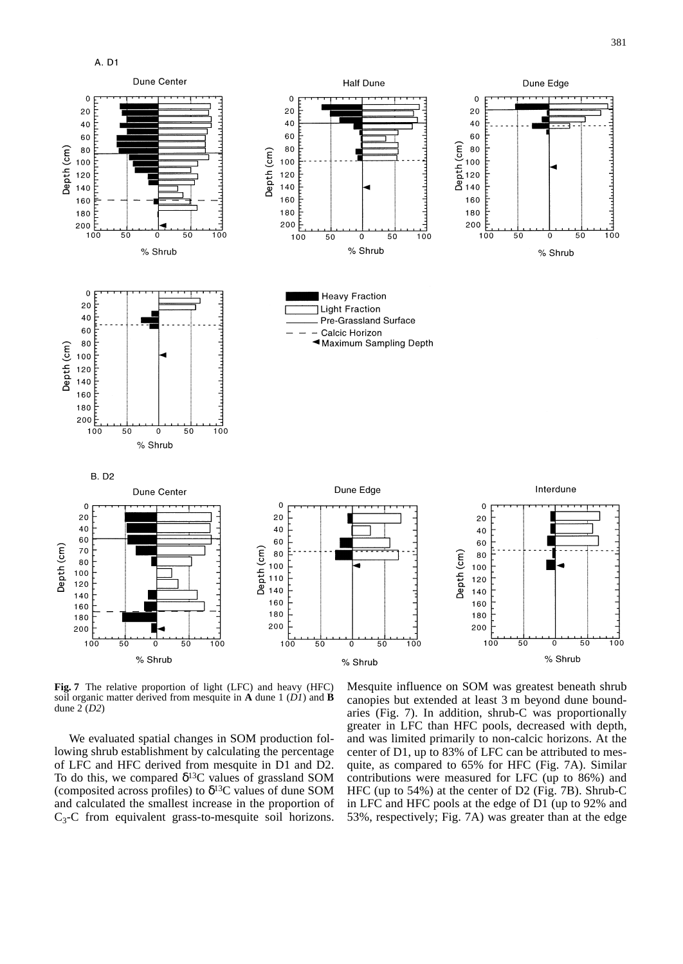

 $381$ 



**Fig. 7** The relative proportion of light (LFC) and heavy (HFC) soil organic matter derived from mesquite in **A** dune 1 (*D1*) and **B** dune 2 (*D2*)

We evaluated spatial changes in SOM production following shrub establishment by calculating the percentage of LFC and HFC derived from mesquite in D1 and D2. To do this, we compared  $\delta^{13}$ C values of grassland SOM (composited across profiles) to  $\delta^{13}$ C values of dune SOM and calculated the smallest increase in the proportion of  $C_3$ -C from equivalent grass-to-mesquite soil horizons.

Mesquite influence on SOM was greatest beneath shrub canopies but extended at least 3 m beyond dune boundaries (Fig. 7). In addition, shrub-C was proportionally greater in LFC than HFC pools, decreased with depth, and was limited primarily to non-calcic horizons. At the center of D1, up to 83% of LFC can be attributed to mesquite, as compared to 65% for HFC (Fig. 7A). Similar contributions were measured for LFC (up to 86%) and HFC (up to 54%) at the center of D2 (Fig. 7B). Shrub-C in LFC and HFC pools at the edge of D1 (up to 92% and 53%, respectively; Fig. 7A) was greater than at the edge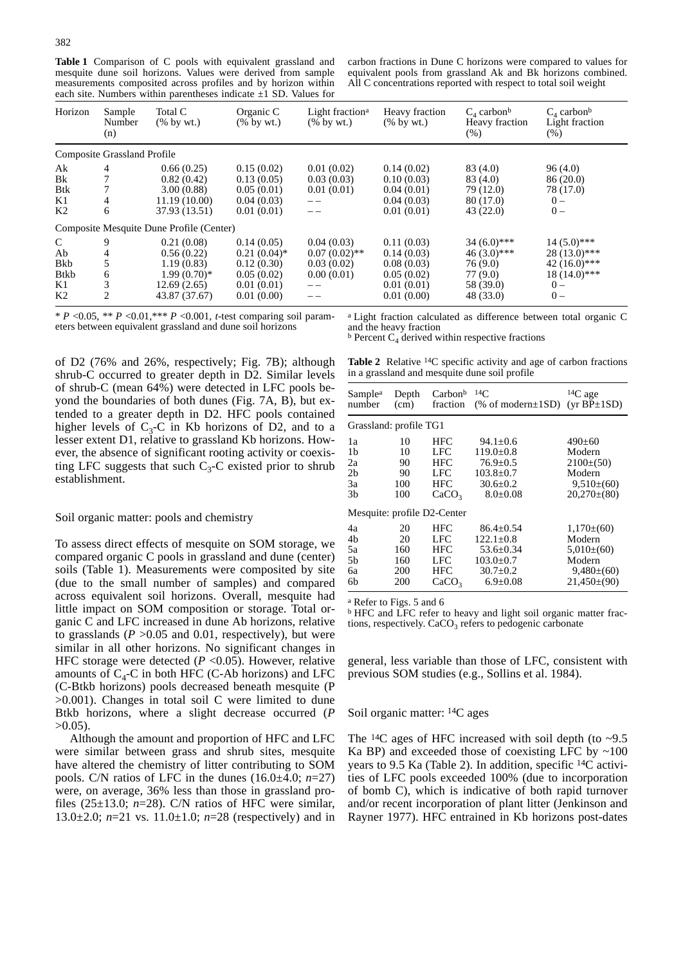**Table 1** Comparison of C pools with equivalent grassland and mesquite dune soil horizons. Values were derived from sample measurements composited across profiles and by horizon within each site. Numbers within parentheses indicate  $\pm 1$  SD. Values for

carbon fractions in Dune C horizons were compared to values for equivalent pools from grassland Ak and Bk horizons combined. All  $C$  concentrations reported with respect to total soil weight

| Horizon                                                           | Sample<br>Number<br>(n)            | Total C<br>$(\%$ by wt.)                                                                | Organic C<br>$(\%$ by wt.)                                                           | Light fraction <sup>a</sup><br>$(\%$ by wt.)                         | Heavy fraction<br>$(\%$ by wt.)                                                  | $C_4$ carbon <sup>b</sup><br>Heavy fraction<br>$(\% )$                          | $C_4$ carbon <sup>b</sup><br>Light fraction<br>$(\%)$                                |
|-------------------------------------------------------------------|------------------------------------|-----------------------------------------------------------------------------------------|--------------------------------------------------------------------------------------|----------------------------------------------------------------------|----------------------------------------------------------------------------------|---------------------------------------------------------------------------------|--------------------------------------------------------------------------------------|
|                                                                   | <b>Composite Grassland Profile</b> |                                                                                         |                                                                                      |                                                                      |                                                                                  |                                                                                 |                                                                                      |
| Ak<br>Bk<br><b>Btk</b><br>K1<br>K <sub>2</sub>                    | 4<br>6                             | 0.66(0.25)<br>0.82(0.42)<br>3.00(0.88)<br>11.19(10.00)<br>37.93 (13.51)                 | 0.15(0.02)<br>0.13(0.05)<br>0.05(0.01)<br>0.04(0.03)<br>0.01(0.01)                   | 0.01(0.02)<br>0.03(0.03)<br>0.01(0.01)<br>$- -$<br>$- -$             | 0.14(0.02)<br>0.10(0.03)<br>0.04(0.01)<br>0.04(0.03)<br>0.01(0.01)               | 83(4.0)<br>83 (4.0)<br>79 (12.0)<br>80 (17.0)<br>43(22.0)                       | 96(4.0)<br>86(20.0)<br>78 (17.0)<br>$0 -$<br>$0 -$                                   |
|                                                                   |                                    | Composite Mesquite Dune Profile (Center)                                                |                                                                                      |                                                                      |                                                                                  |                                                                                 |                                                                                      |
| $\mathsf{C}$<br>Ab<br>Bkb<br><b>B</b> tkb<br>K1<br>K <sub>2</sub> | 9<br>5<br>6<br>2                   | 0.21(0.08)<br>0.56(0.22)<br>1.19(0.83)<br>$1.99(0.70)*$<br>12.69(2.65)<br>43.87 (37.67) | 0.14(0.05)<br>$0.21(0.04)$ *<br>0.12(0.30)<br>0.05(0.02)<br>0.01(0.01)<br>0.01(0.00) | 0.04(0.03)<br>$0.07(0.02)$ **<br>0.03(0.02)<br>0.00(0.01)<br>$=$ $-$ | 0.11(0.03)<br>0.14(0.03)<br>0.08(0.03)<br>0.05(0.02)<br>0.01(0.01)<br>0.01(0.00) | $34(6.0)$ ***<br>$46(3.0)***$<br>76 (9.0)<br>77 (9.0)<br>58 (39.0)<br>48 (33.0) | $14(5.0)$ ***<br>$28(13.0)$ ***<br>$42(16.0)***$<br>$18(14.0)$ ***<br>$0 -$<br>$0 -$ |

\* *P* <0.05, \*\* *P* <0.01,\*\*\* *P* <0.001, *t-*test comparing soil parameters between equivalent grassland and dune soil horizons

and the heavy fraction  $b$  Percent C<sub>4</sub> derived within respective fractions

of D2 (76% and 26%, respectively; Fig. 7B); although shrub-C occurred to greater depth in D2. Similar levels of shrub-C (mean 64%) were detected in LFC pools beyond the boundaries of both dunes (Fig. 7A, B), but extended to a greater depth in D2. HFC pools contained higher levels of  $C_3$ -C in Kb horizons of D2, and to a lesser extent D1, relative to grassland Kb horizons. However, the absence of significant rooting activity or coexisting LFC suggests that such  $C_3$ -C existed prior to shrub establishment.

Soil organic matter: pools and chemistry

To assess direct effects of mesquite on SOM storage, we compared organic C pools in grassland and dune (center) soils (Table 1). Measurements were composited by site (due to the small number of samples) and compared across equivalent soil horizons. Overall, mesquite had little impact on SOM composition or storage. Total organic C and LFC increased in dune Ab horizons, relative to grasslands ( $P > 0.05$  and 0.01, respectively), but were similar in all other horizons. No significant changes in HFC storage were detected  $(P \le 0.05)$ . However, relative amounts of  $C_4$ -C in both HFC (C-Ab horizons) and LFC (C-Btkb horizons) pools decreased beneath mesquite (P >0.001). Changes in total soil C were limited to dune Btkb horizons, where a slight decrease occurred (*P*  $>0.05$ ).

Although the amount and proportion of HFC and LFC were similar between grass and shrub sites, mesquite have altered the chemistry of litter contributing to SOM pools. C/N ratios of LFC in the dunes (16.0±4.0; *n*=27) were, on average, 36% less than those in grassland profiles (25±13.0; *n*=28). C/N ratios of HFC were similar, 13.0±2.0; *n*=21 vs. 11.0±1.0; *n*=28 (respectively) and in

Table 2 Relative <sup>14</sup>C specific activity and age of carbon fractions in a grassland and mesquite dune soil profile

| Sample <sup>a</sup>                                                         | Depth                              | Carbon <sup>b</sup>                                  | $^{14}C$                                                                                                   | $14C$ age                                                                              |
|-----------------------------------------------------------------------------|------------------------------------|------------------------------------------------------|------------------------------------------------------------------------------------------------------------|----------------------------------------------------------------------------------------|
| number                                                                      | (cm)                               | fraction                                             | (% of modern $\pm$ 1SD)                                                                                    | ( $vr BP±1SD$ )                                                                        |
| Grassland: profile TG1                                                      |                                    |                                                      |                                                                                                            |                                                                                        |
| 1a<br>1 <sub>b</sub><br>2a<br>2b<br>Зa<br>3b<br>Mesquite: profile D2-Center | 10<br>10<br>90<br>90<br>100<br>100 | HFC<br>LFC<br>HFC<br>LFC<br>HFC<br>CaCO <sub>3</sub> | $94.1 \pm 0.6$<br>$119.0 \pm 0.8$<br>$76.9 \pm 0.5$<br>$103.8 \pm 0.7$<br>$30.6 \pm 0.2$<br>$8.0 \pm 0.08$ | $490 \pm 60$<br>Modern<br>$2100\pm(50)$<br>Modern<br>$9.510\pm(60)$<br>$20,270\pm(80)$ |
| 4a                                                                          | 20                                 | HFC                                                  | $86.4 + 0.54$                                                                                              | $1,170\pm(60)$                                                                         |
| 4b                                                                          | 20                                 | LFC                                                  | $122.1+0.8$                                                                                                | Modern                                                                                 |
| 5a                                                                          | 160                                | HFC                                                  | $53.6 + 0.34$                                                                                              | $5,010\pm(60)$                                                                         |
| .5b                                                                         | 160                                | LFC                                                  | $103.0 \pm 0.7$                                                                                            | Modern                                                                                 |
| 6a                                                                          | 200                                | HFC                                                  | $30.7 \pm 0.2$                                                                                             | $9,480\pm(60)$                                                                         |
| 6b                                                                          | 200                                | CaCO <sub>3</sub>                                    | $6.9 \pm 0.08$                                                                                             | $21,450\pm(90)$                                                                        |

<sup>a</sup> Refer to Figs. 5 and 6

<sup>b</sup> HFC and LFC refer to heavy and light soil organic matter fractions, respectively.  $CaCO<sub>3</sub>$  refers to pedogenic carbonate

general, less variable than those of LFC, consistent with previous SOM studies (e.g., Sollins et al. 1984).

# Soil organic matter: 14C ages

The <sup>14</sup>C ages of HFC increased with soil depth (to  $\sim$ 9.5) Ka BP) and exceeded those of coexisting LFC by  $\sim$ 100 years to 9.5 Ka (Table 2). In addition, specific 14C activities of LFC pools exceeded 100% (due to incorporation of bomb C), which is indicative of both rapid turnover and/or recent incorporation of plant litter (Jenkinson and Rayner 1977). HFC entrained in Kb horizons post-dates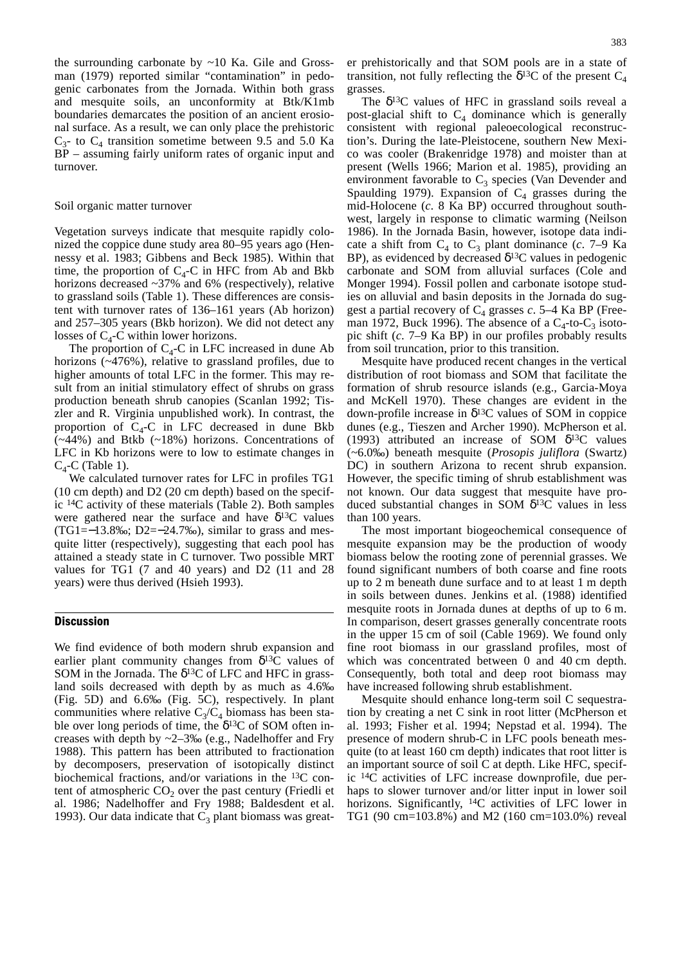the surrounding carbonate by  $\sim 10$  Ka. Gile and Grossman (1979) reported similar "contamination" in pedogenic carbonates from the Jornada. Within both grass and mesquite soils, an unconformity at Btk/K1mb boundaries demarcates the position of an ancient erosional surface. As a result, we can only place the prehistoric  $C_3$ - to  $C_4$  transition sometime between 9.5 and 5.0 Ka BP – assuming fairly uniform rates of organic input and turnover.

# Soil organic matter turnover

Vegetation surveys indicate that mesquite rapidly colonized the coppice dune study area 80–95 years ago (Hennessy et al. 1983; Gibbens and Beck 1985). Within that time, the proportion of  $C_4$ -C in HFC from Ab and Bkb horizons decreased ~37% and 6% (respectively), relative to grassland soils (Table 1). These differences are consistent with turnover rates of 136–161 years (Ab horizon) and 257–305 years (Bkb horizon). We did not detect any losses of  $C_4$ -C within lower horizons.

The proportion of  $C_4$ -C in LFC increased in dune Ab horizons (~476%), relative to grassland profiles, due to higher amounts of total LFC in the former. This may result from an initial stimulatory effect of shrubs on grass production beneath shrub canopies (Scanlan 1992; Tiszler and R. Virginia unpublished work). In contrast, the proportion of  $C_4$ -C in LFC decreased in dune Bkb (~44%) and Btkb (~18%) horizons. Concentrations of LFC in Kb horizons were to low to estimate changes in  $C_4$ -C (Table 1).

We calculated turnover rates for LFC in profiles TG1 (10 cm depth) and D2 (20 cm depth) based on the specific 14C activity of these materials (Table 2). Both samples were gathered near the surface and have  $\delta^{13}$ C values (TG1=−13.8‰; D2=−24.7‰), similar to grass and mesquite litter (respectively), suggesting that each pool has attained a steady state in C turnover. Two possible MRT values for TG1 (7 and 40 years) and D2 (11 and 28 years) were thus derived (Hsieh 1993).

# **Discussion**

We find evidence of both modern shrub expansion and earlier plant community changes from  $\delta^{13}$ C values of SOM in the Jornada. The  $\delta^{13}$ C of LFC and HFC in grassland soils decreased with depth by as much as 4.6‰ (Fig. 5D) and 6.6‰ (Fig. 5C), respectively. In plant communities where relative  $C_3/C_4$  biomass has been stable over long periods of time, the  $\delta^{13}$ C of SOM often increases with depth by  $\sim$ 2–3‰ (e.g., Nadelhoffer and Fry 1988). This pattern has been attributed to fractionation by decomposers, preservation of isotopically distinct biochemical fractions, and/or variations in the 13C content of atmospheric  $CO<sub>2</sub>$  over the past century (Friedli et al. 1986; Nadelhoffer and Fry 1988; Baldesdent et al. 1993). Our data indicate that  $C_3$  plant biomass was greater prehistorically and that SOM pools are in a state of transition, not fully reflecting the  $\delta^{13}$ C of the present C<sub>4</sub> grasses.

The  $\delta^{13}$ C values of HFC in grassland soils reveal a post-glacial shift to  $C_4$  dominance which is generally consistent with regional paleoecological reconstruction's. During the late-Pleistocene, southern New Mexico was cooler (Brakenridge 1978) and moister than at present (Wells 1966; Marion et al. 1985), providing an environment favorable to  $C_3$  species (Van Devender and Spaulding 1979). Expansion of  $C_4$  grasses during the mid-Holocene (*c*. 8 Ka BP) occurred throughout southwest, largely in response to climatic warming (Neilson 1986). In the Jornada Basin, however, isotope data indicate a shift from  $C_4$  to  $C_3$  plant dominance (*c*. 7–9 Ka BP), as evidenced by decreased  $\delta^{13}$ C values in pedogenic carbonate and SOM from alluvial surfaces (Cole and Monger 1994). Fossil pollen and carbonate isotope studies on alluvial and basin deposits in the Jornada do suggest a partial recovery of  $C_4$  grasses  $c$ . 5–4 Ka BP (Freeman 1972, Buck 1996). The absence of a  $C_4$ -to- $C_3$  isotopic shift (*c*. 7–9 Ka BP) in our profiles probably results from soil truncation, prior to this transition.

Mesquite have produced recent changes in the vertical distribution of root biomass and SOM that facilitate the formation of shrub resource islands (e.g., Garcia-Moya and McKell 1970). These changes are evident in the down-profile increase in δ13C values of SOM in coppice dunes (e.g., Tieszen and Archer 1990). McPherson et al. (1993) attributed an increase of SOM  $\delta^{13}$ C values (~6.0‰) beneath mesquite (*Prosopis juliflora* (Swartz) DC) in southern Arizona to recent shrub expansion. However, the specific timing of shrub establishment was not known. Our data suggest that mesquite have produced substantial changes in SOM  $\delta^{13}$ C values in less than 100 years.

The most important biogeochemical consequence of mesquite expansion may be the production of woody biomass below the rooting zone of perennial grasses. We found significant numbers of both coarse and fine roots up to 2 m beneath dune surface and to at least 1 m depth in soils between dunes. Jenkins et al. (1988) identified mesquite roots in Jornada dunes at depths of up to 6 m. In comparison, desert grasses generally concentrate roots in the upper 15 cm of soil (Cable 1969). We found only fine root biomass in our grassland profiles, most of which was concentrated between 0 and 40 cm depth. Consequently, both total and deep root biomass may have increased following shrub establishment.

Mesquite should enhance long-term soil C sequestration by creating a net C sink in root litter (McPherson et al. 1993; Fisher et al. 1994; Nepstad et al. 1994). The presence of modern shrub-C in LFC pools beneath mesquite (to at least 160 cm depth) indicates that root litter is an important source of soil C at depth. Like HFC, specific 14C activities of LFC increase downprofile, due perhaps to slower turnover and/or litter input in lower soil horizons. Significantly, <sup>14</sup>C activities of LFC lower in TG1 (90 cm=103.8%) and M2 (160 cm=103.0%) reveal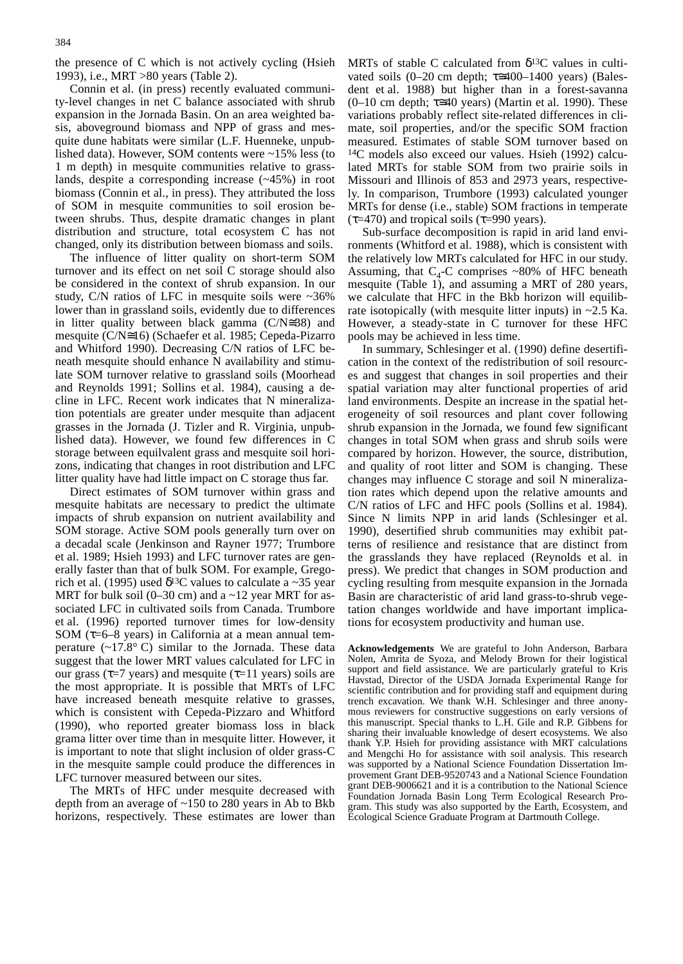the presence of C which is not actively cycling (Hsieh 1993), i.e., MRT >80 years (Table 2).

Connin et al. (in press) recently evaluated community-level changes in net C balance associated with shrub expansion in the Jornada Basin. On an area weighted basis, aboveground biomass and NPP of grass and mesquite dune habitats were similar (L.F. Huenneke, unpublished data). However, SOM contents were ~15% less (to 1 m depth) in mesquite communities relative to grasslands, despite a corresponding increase (~45%) in root biomass (Connin et al., in press). They attributed the loss of SOM in mesquite communities to soil erosion between shrubs. Thus, despite dramatic changes in plant distribution and structure, total ecosystem C has not changed, only its distribution between biomass and soils.

The influence of litter quality on short-term SOM turnover and its effect on net soil C storage should also be considered in the context of shrub expansion. In our study, C/N ratios of LFC in mesquite soils were ~36% lower than in grassland soils, evidently due to differences in litter quality between black gamma (C/N≅38) and mesquite (C/N≅16) (Schaefer et al. 1985; Cepeda-Pizarro and Whitford 1990). Decreasing C/N ratios of LFC beneath mesquite should enhance N availability and stimulate SOM turnover relative to grassland soils (Moorhead and Reynolds 1991; Sollins et al. 1984), causing a decline in LFC. Recent work indicates that N mineralization potentials are greater under mesquite than adjacent grasses in the Jornada (J. Tizler and R. Virginia, unpublished data). However, we found few differences in C storage between equilvalent grass and mesquite soil horizons, indicating that changes in root distribution and LFC litter quality have had little impact on C storage thus far.

Direct estimates of SOM turnover within grass and mesquite habitats are necessary to predict the ultimate impacts of shrub expansion on nutrient availability and SOM storage. Active SOM pools generally turn over on a decadal scale (Jenkinson and Rayner 1977; Trumbore et al. 1989; Hsieh 1993) and LFC turnover rates are generally faster than that of bulk SOM. For example, Gregorich et al. (1995) used  $\delta^{13}$ C values to calculate a ~35 year MRT for bulk soil (0–30 cm) and a  $\sim$ 12 year MRT for associated LFC in cultivated soils from Canada. Trumbore et al. (1996) reported turnover times for low-density SOM ( $\tau$ =6–8 years) in California at a mean annual temperature (~17.8° C) similar to the Jornada. These data suggest that the lower MRT values calculated for LFC in our grass ( $\tau$ =7 years) and mesquite ( $\tau$ =11 years) soils are the most appropriate. It is possible that MRTs of LFC have increased beneath mesquite relative to grasses, which is consistent with Cepeda-Pizzaro and Whitford (1990), who reported greater biomass loss in black grama litter over time than in mesquite litter. However, it is important to note that slight inclusion of older grass-C in the mesquite sample could produce the differences in LFC turnover measured between our sites.

The MRTs of HFC under mesquite decreased with depth from an average of ~150 to 280 years in Ab to Bkb horizons, respectively. These estimates are lower than MRTs of stable C calculated from  $\delta^{13}$ C values in cultivated soils (0–20 cm depth;  $\tau \approx 400-1400$  years) (Balesdent et al. 1988) but higher than in a forest-savanna  $(0-10 \text{ cm depth}; \tau \leq 40 \text{ years})$  (Martin et al. 1990). These variations probably reflect site-related differences in climate, soil properties, and/or the specific SOM fraction measured. Estimates of stable SOM turnover based on 14C models also exceed our values. Hsieh (1992) calculated MRTs for stable SOM from two prairie soils in Missouri and Illinois of 853 and 2973 years, respectively. In comparison, Trumbore (1993) calculated younger MRTs for dense (i.e., stable) SOM fractions in temperate  $(\tau=470)$  and tropical soils ( $\tau=990$  years).

Sub-surface decomposition is rapid in arid land environments (Whitford et al. 1988), which is consistent with the relatively low MRTs calculated for HFC in our study. Assuming, that  $C_4$ -C comprises ~80% of HFC beneath mesquite (Table 1), and assuming a MRT of 280 years, we calculate that HFC in the Bkb horizon will equilibrate isotopically (with mesquite litter inputs) in  $\sim$ 2.5 Ka. However, a steady-state in C turnover for these HFC pools may be achieved in less time.

In summary, Schlesinger et al. (1990) define desertification in the context of the redistribution of soil resources and suggest that changes in soil properties and their spatial variation may alter functional properties of arid land environments. Despite an increase in the spatial heterogeneity of soil resources and plant cover following shrub expansion in the Jornada, we found few significant changes in total SOM when grass and shrub soils were compared by horizon. However, the source, distribution, and quality of root litter and SOM is changing. These changes may influence C storage and soil N mineralization rates which depend upon the relative amounts and C/N ratios of LFC and HFC pools (Sollins et al. 1984). Since N limits NPP in arid lands (Schlesinger et al. 1990), desertified shrub communities may exhibit patterns of resilience and resistance that are distinct from the grasslands they have replaced (Reynolds et al. in press). We predict that changes in SOM production and cycling resulting from mesquite expansion in the Jornada Basin are characteristic of arid land grass-to-shrub vegetation changes worldwide and have important implications for ecosystem productivity and human use.

Acknowledgements We are grateful to John Anderson, Barbara Nolen, Amrita de Syoza, and Melody Brown for their logistical support and field assistance. We are particularly grateful to Kris Havstad, Director of the USDA Jornada Experimental Range for scientific contribution and for providing staff and equipment during trench excavation. We thank W.H. Schlesinger and three anonymous reviewers for constructive suggestions on early versions of this manuscript. Special thanks to L.H. Gile and R.P. Gibbens for sharing their invaluable knowledge of desert ecosystems. We also thank Y.P. Hsieh for providing assistance with MRT calculations and Mengchi Ho for assistance with soil analysis. This research was supported by a National Science Foundation Dissertation Improvement Grant DEB-9520743 and a National Science Foundation grant DEB-9006621 and it is a contribution to the National Science Foundation Jornada Basin Long Term Ecological Research Program. This study was also supported by the Earth, Ecosystem, and Ecological Science Graduate Program at Dartmouth College.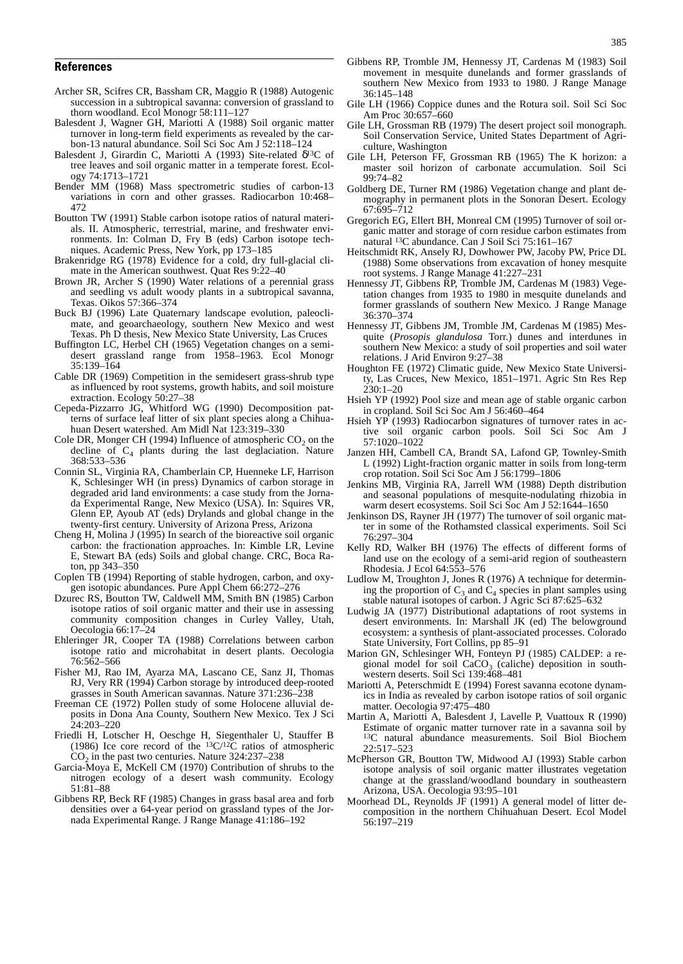- Archer SR, Scifres CR, Bassham CR, Maggio R (1988) Autogenic succession in a subtropical savanna: conversion of grassland to thorn woodland. Ecol Monogr 58:111–127
- Balesdent J, Wagner GH, Mariotti A (1988) Soil organic matter turnover in long-term field experiments as revealed by the carbon-13 natural abundance. Soil Sci Soc Am J 52:118–124
- Balesdent J, Girardin C, Mariotti A (1993) Site-related δ13C of tree leaves and soil organic matter in a temperate forest. Ecology 74:1713–1721
- Bender MM (1968) Mass spectrometric studies of carbon-13 variations in corn and other grasses. Radiocarbon 10:468– 472
- Boutton TW (1991) Stable carbon isotope ratios of natural materials. II. Atmospheric, terrestrial, marine, and freshwater environments. In: Colman D, Fry B (eds) Carbon isotope techniques. Academic Press, New York, pp 173–185
- Brakenridge RG (1978) Evidence for a cold, dry full-glacial climate in the American southwest. Quat Res 9:22–40
- Brown JR, Archer S (1990) Water relations of a perennial grass and seedling vs adult woody plants in a subtropical savanna, Texas. Oikos 57:366–374
- Buck BJ (1996) Late Quaternary landscape evolution, paleoclimate, and geoarchaeology, southern New Mexico and west Texas. Ph D thesis, New Mexico State University, Las Cruces
- Buffington LC, Herbel CH (1965) Vegetation changes on a semidesert grassland range from 1958–1963. Ecol Monogr 35:139–164
- Cable DR (1969) Competition in the semidesert grass-shrub type as influenced by root systems, growth habits, and soil moisture extraction. Ecology 50:27–38
- Cepeda-Pizzarro JG, Whitford WG (1990) Decomposition patterns of surface leaf litter of six plant species along a Chihuahuan Desert watershed. Am Midl Nat 123:319–330
- Cole DR, Monger CH (1994) Influence of atmospheric  $CO<sub>2</sub>$  on the decline of  $C_4$  plants during the last deglaciation. Nature 368:533–536
- Connin SL, Virginia RA, Chamberlain CP, Huenneke LF, Harrison K, Schlesinger WH (in press) Dynamics of carbon storage in degraded arid land environments: a case study from the Jornada Experimental Range, New Mexico (USA). In: Squires VR, Glenn EP, Ayoub AT (eds) Drylands and global change in the twenty-first century. University of Arizona Press, Arizona
- Cheng H, Molina J (1995) In search of the bioreactive soil organic carbon: the fractionation approaches. In: Kimble LR, Levine E, Stewart BA (eds) Soils and global change. CRC, Boca Raton, pp 343–350
- Coplen TB (1994) Reporting of stable hydrogen, carbon, and oxygen isotopic abundances. Pure Appl Chem 66:272–276
- Dzurec RS, Boutton TW, Caldwell MM, Smith BN (1985) Carbon isotope ratios of soil organic matter and their use in assessing community composition changes in Curley Valley, Utah, Oecologia 66:17–24
- Ehleringer JR, Cooper TA (1988) Correlations between carbon isotope ratio and microhabitat in desert plants. Oecologia 76:562–566
- Fisher MJ, Rao IM, Ayarza MA, Lascano CE, Sanz JI, Thomas RJ, Very RR (1994) Carbon storage by introduced deep-rooted grasses in South American savannas. Nature 371:236–238
- Freeman CE (1972) Pollen study of some Holocene alluvial deposits in Dona Ana County, Southern New Mexico. Tex J Sci 24:203–220
- Friedli H, Lotscher H, Oeschge H, Siegenthaler U, Stauffer B (1986) Ice core record of the  $13C/12C$  ratios of atmospheric  $CO<sub>2</sub>$  in the past two centuries. Nature 324:237–238
- Garcia-Moya E, McKell CM (1970) Contribution of shrubs to the nitrogen ecology of a desert wash community. Ecology 51:81–88
- Gibbens RP, Beck RF (1985) Changes in grass basal area and forb densities over a 64-year period on grassland types of the Jornada Experimental Range. J Range Manage 41:186–192
- Gibbens RP, Tromble JM, Hennessy JT, Cardenas M (1983) Soil movement in mesquite dunelands and former grasslands of southern New Mexico from 1933 to 1980. J Range Manage 36:145–148
- Gile LH (1966) Coppice dunes and the Rotura soil. Soil Sci Soc Am Proc 30:657–660
- Gile LH, Grossman RB (1979) The desert project soil monograph. Soil Conservation Service, United States Department of Agriculture, Washington
- Gile LH, Peterson FF, Grossman RB (1965) The K horizon: a master soil horizon of carbonate accumulation. Soil Sci 99:74–82
- Goldberg DE, Turner RM (1986) Vegetation change and plant demography in permanent plots in the Sonoran Desert. Ecology 67:695–712
- Gregorich EG, Ellert BH, Monreal CM (1995) Turnover of soil organic matter and storage of corn residue carbon estimates from natural 13C abundance. Can J Soil Sci 75:161–167
- Heitschmidt RK, Ansely RJ, Dowhower PW, Jacoby PW, Price DL (1988) Some observations from excavation of honey mesquite root systems. J Range Manage 41:227–231
- Hennessy JT, Gibbens RP, Tromble JM, Cardenas M (1983) Vegetation changes from 1935 to 1980 in mesquite dunelands and former grasslands of southern New Mexico. J Range Manage 36:370–374
- Hennessy JT, Gibbens JM, Tromble JM, Cardenas M (1985) Mesquite (*Prosopis glandulosa* Torr.) dunes and interdunes in southern New Mexico: a study of soil properties and soil water relations. J Arid Environ 9:27–38
- Houghton FE (1972) Climatic guide, New Mexico State University, Las Cruces, New Mexico, 1851–1971. Agric Stn Res Rep  $230:1-20$
- Hsieh YP (1992) Pool size and mean age of stable organic carbon in cropland. Soil Sci Soc Am J 56:460–464
- Hsieh YP (1993) Radiocarbon signatures of turnover rates in active soil organic carbon pools. Soil Sci Soc Am J 57:1020–1022
- Janzen HH, Cambell CA, Brandt SA, Lafond GP, Townley-Smith L (1992) Light-fraction organic matter in soils from long-term crop rotation. Soil Sci Soc Am J 56:1799–1806
- Jenkins MB, Virginia RA, Jarrell WM (1988) Depth distribution and seasonal populations of mesquite-nodulating rhizobia in warm desert ecosystems. Soil Sci Soc Am J 52:1644–1650
- Jenkinson DS, Rayner JH (1977) The turnover of soil organic matter in some of the Rothamsted classical experiments. Soil Sci 76:297–304
- Kelly RD, Walker BH (1976) The effects of different forms of land use on the ecology of a semi-arid region of southeastern Rhodesia. J Ecol 64:553–576
- Ludlow M, Troughton J, Jones R (1976) A technique for determining the proportion of  $C_3$  and  $C_4$  species in plant samples using stable natural isotopes of carbon. J Agric Sci 87:625–632
- Ludwig JA (1977) Distributional adaptations of root systems in desert environments. In: Marshall JK (ed) The belowground ecosystem: a synthesis of plant-associated processes. Colorado State University, Fort Collins, pp 85–91
- Marion GN, Schlesinger WH, Fonteyn PJ (1985) CALDEP: a regional model for soil  $CaCO<sub>3</sub>$  (caliche) deposition in southwestern deserts. Soil Sci 139:468–481
- Mariotti A, Peterschmidt E (1994) Forest savanna ecotone dynamics in India as revealed by carbon isotope ratios of soil organic matter. Oecologia 97:475–480
- Martin A, Mariotti A, Balesdent J, Lavelle P, Vuattoux R (1990) Estimate of organic matter turnover rate in a savanna soil by 13C natural abundance measurements. Soil Biol Biochem 22:517–523
- McPherson GR, Boutton TW, Midwood AJ (1993) Stable carbon isotope analysis of soil organic matter illustrates vegetation change at the grassland/woodland boundary in southeastern Arizona, USA. Oecologia 93:95–101
- Moorhead DL, Reynolds JF (1991) A general model of litter decomposition in the northern Chihuahuan Desert. Ecol Model 56:197–219